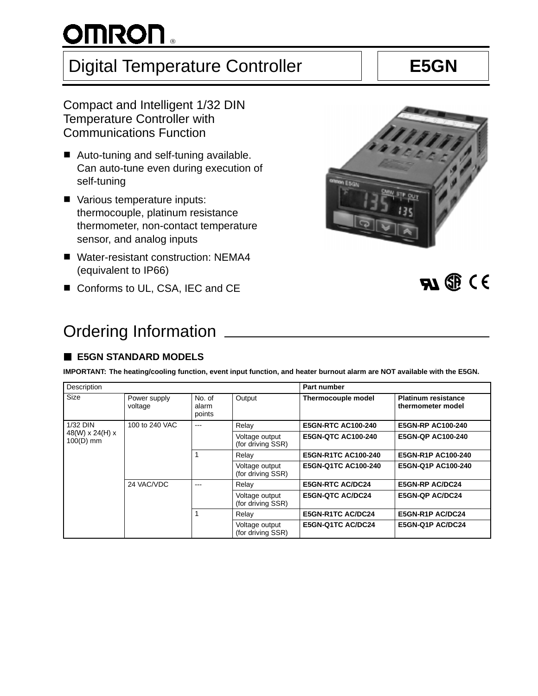# $^{\circ}$

## Digital Temperature Controller **E5GN**

Compact and Intelligent 1/32 DIN Temperature Controller with Communications Function

- Auto-tuning and self-tuning available. Can auto-tune even during execution of self-tuning
- Various temperature inputs: thermocouple, platinum resistance thermometer, non-contact temperature sensor, and analog inputs
- Water-resistant construction: NEMA4 (equivalent to IP66)
- $\blacksquare$  Conforms to UL, CSA, IEC and CE

## Ordering Information

## **E5GN STANDARD MODELS**

**IMPORTANT: The heating/cooling function, event input function, and heater burnout alarm are NOT available with the E5GN.**

| Description                      |                         |                           |                                     | <b>Part number</b>        |                                                 |  |
|----------------------------------|-------------------------|---------------------------|-------------------------------------|---------------------------|-------------------------------------------------|--|
| Size                             | Power supply<br>voltage | No. of<br>alarm<br>points | Output                              | Thermocouple model        | <b>Platinum resistance</b><br>thermometer model |  |
| 1/32 DIN                         | 100 to 240 VAC          | $- - -$                   | Relay                               | <b>E5GN-RTC AC100-240</b> | <b>E5GN-RP AC100-240</b>                        |  |
| 48(W) $x 24(H) x$<br>$100(D)$ mm |                         |                           | Voltage output<br>(for driving SSR) | <b>E5GN-QTC AC100-240</b> | <b>E5GN-QP AC100-240</b>                        |  |
|                                  |                         |                           | Relay                               | E5GN-R1TC AC100-240       | E5GN-R1P AC100-240                              |  |
|                                  |                         |                           | Voltage output<br>(for driving SSR) | E5GN-Q1TC AC100-240       | E5GN-Q1P AC100-240                              |  |
|                                  | 24 VAC/VDC              | ---                       | Relay                               | <b>E5GN-RTC AC/DC24</b>   | <b>E5GN-RP AC/DC24</b>                          |  |
|                                  |                         |                           | Voltage output<br>(for driving SSR) | <b>E5GN-QTC AC/DC24</b>   | <b>E5GN-QP AC/DC24</b>                          |  |
|                                  |                         |                           | Relay                               | E5GN-R1TC AC/DC24         | E5GN-R1P AC/DC24                                |  |
|                                  |                         |                           | Voltage output<br>(for driving SSR) | E5GN-Q1TC AC/DC24         | E5GN-Q1P AC/DC24                                |  |

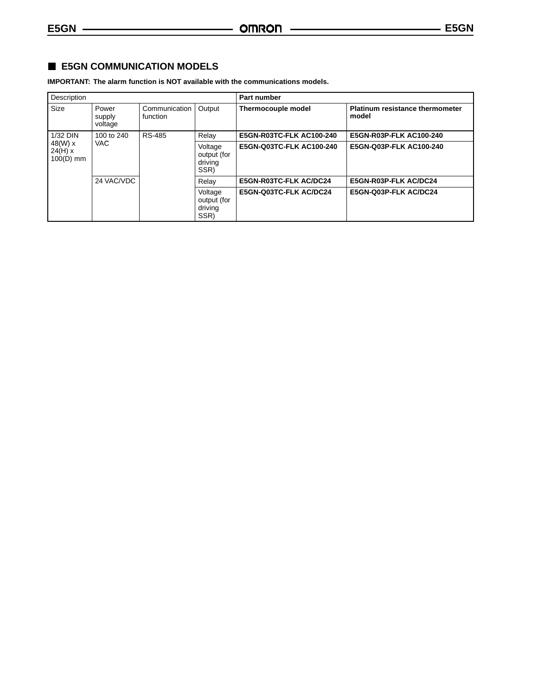## **E5GN COMMUNICATION MODELS**

**IMPORTANT: The alarm function is NOT available with the communications models.**

| Description                       |                            |                             |                                           | Part number              |                                                 |  |
|-----------------------------------|----------------------------|-----------------------------|-------------------------------------------|--------------------------|-------------------------------------------------|--|
| Size                              | Power<br>supply<br>voltage | Communication  <br>function | Output                                    | Thermocouple model       | <b>Platinum resistance thermometer</b><br>model |  |
| 1/32 DIN                          | 100 to 240                 | RS-485                      | Relay                                     | E5GN-R03TC-FLK AC100-240 | E5GN-R03P-FLK AC100-240                         |  |
| 48(W) x<br>24(H) x<br>$100(D)$ mm | VAC.                       |                             | Voltage<br>output (for<br>driving<br>SSR) | E5GN-Q03TC-FLK AC100-240 | E5GN-Q03P-FLK AC100-240                         |  |
|                                   | 24 VAC/VDC                 |                             | Relay                                     | E5GN-R03TC-FLK AC/DC24   | E5GN-R03P-FLK AC/DC24                           |  |
|                                   |                            |                             | Voltage<br>output (for<br>driving<br>SSR) | E5GN-Q03TC-FLK AC/DC24   | E5GN-Q03P-FLK AC/DC24                           |  |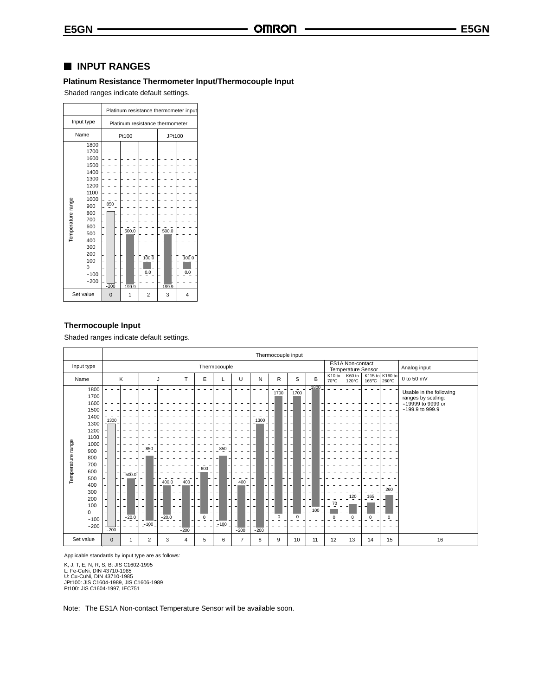### **INPUT RANGES**

### **Platinum Resistance Thermometer Input/Thermocouple Input**

Shaded ranges indicate default settings.

|                                                                                                                                                                                | Platinum resistance thermometer input |                                 |  |  |  |  |  |  |
|--------------------------------------------------------------------------------------------------------------------------------------------------------------------------------|---------------------------------------|---------------------------------|--|--|--|--|--|--|
| Input type                                                                                                                                                                     |                                       | Platinum resistance thermometer |  |  |  |  |  |  |
| Name                                                                                                                                                                           | Pt100                                 | JPt100                          |  |  |  |  |  |  |
| 1800<br>1700<br>1600<br>1500<br>1400<br>1300<br>1200<br>1100<br>Temperature range<br>1000<br>900<br>800<br>700<br>600<br>500<br>400<br>300<br>200<br>100<br>$\Omega$<br>$-100$ | 850<br>500.0<br>100.0<br>0.0          | 500.0<br>700.0<br>0.0           |  |  |  |  |  |  |
| $-200$                                                                                                                                                                         | $-200$<br>$-199.9$                    | $-199.9$                        |  |  |  |  |  |  |
| Set value                                                                                                                                                                      | $\overline{2}$<br>0                   | 3<br>4                          |  |  |  |  |  |  |

#### **Thermocouple Input**

Shaded ranges indicate default settings.

|                                                                                                                                                                                                |                                                                                             | Thermocouple input                                                                                                                  |                                                                                                                                       |                                                                                                                                                                           |                                                                                                                                                                                                                         |                                                                                                                                                                                                          |                                                                                                                                                                                                                                                                      |                                                                                                          |                                             |                                                                                       |
|------------------------------------------------------------------------------------------------------------------------------------------------------------------------------------------------|---------------------------------------------------------------------------------------------|-------------------------------------------------------------------------------------------------------------------------------------|---------------------------------------------------------------------------------------------------------------------------------------|---------------------------------------------------------------------------------------------------------------------------------------------------------------------------|-------------------------------------------------------------------------------------------------------------------------------------------------------------------------------------------------------------------------|----------------------------------------------------------------------------------------------------------------------------------------------------------------------------------------------------------|----------------------------------------------------------------------------------------------------------------------------------------------------------------------------------------------------------------------------------------------------------------------|----------------------------------------------------------------------------------------------------------|---------------------------------------------|---------------------------------------------------------------------------------------|
| Input type                                                                                                                                                                                     |                                                                                             | ES1A Non-contact<br>Thermocouple<br>Temperature Sensor                                                                              |                                                                                                                                       |                                                                                                                                                                           |                                                                                                                                                                                                                         |                                                                                                                                                                                                          |                                                                                                                                                                                                                                                                      |                                                                                                          | Analog input                                |                                                                                       |
| Name                                                                                                                                                                                           | Κ                                                                                           | J                                                                                                                                   | Ε<br>т                                                                                                                                | U                                                                                                                                                                         | N                                                                                                                                                                                                                       | R                                                                                                                                                                                                        | S<br>B                                                                                                                                                                                                                                                               | K60 to<br>K <sub>10</sub> to<br>70°C<br>$120^{\circ}$ C                                                  | K115 to K160 to<br>$260^{\circ}$ C<br>165°C | 0 to 50 mV                                                                            |
| 1800<br>1700<br>1600<br>1500<br>1400<br>1300<br>1200<br>1100<br>range<br>1000<br>900<br>Temperature<br>800<br>700<br>600<br>500<br>400<br>300<br>200<br>100<br>$\mathbf 0$<br>$-100$<br>$-200$ | 1300<br>$\overline{a}$<br>7500.0<br>-<br>٠<br>$\overline{\phantom{a}}$<br>$-20.0$<br>$-200$ | 850<br>۰<br>Ξ.<br>400.0<br>$\overline{\phantom{a}}$<br>$\overline{\phantom{a}}$<br>$\sim$<br>$\qquad \qquad -$<br>$-20.0$<br>$-100$ | 600<br>400<br>$\equiv$<br>-<br>$\overline{\phantom{a}}$<br>$\overline{\phantom{a}}$<br>۰<br>$\equiv$<br>$\overline{0}$<br>٠<br>$-200$ | 850<br>400<br>$\overline{\phantom{a}}$<br>$\equiv$<br>$\overline{\phantom{a}}$<br>٠<br>$\overline{\phantom{a}}$<br>$\overline{\phantom{a}}$<br>۰<br>٠<br>$-100$<br>$-200$ | 1300<br>$\overline{a}$<br>۰<br>٠<br>$\overline{a}$<br>۰<br>۰<br>$\overline{a}$<br>-<br>$\overline{\phantom{a}}$<br>$\qquad \qquad \blacksquare$<br>$\overline{\phantom{a}}$<br>÷.<br>$\overline{\phantom{0}}$<br>$-200$ | 1700<br>۰<br>-<br>-<br>٠<br>-<br>$\qquad \qquad \blacksquare$<br>-<br>-<br>$\overline{a}$<br>-<br>$\overline{\phantom{a}}$<br>$\overline{\phantom{a}}$<br>۰<br>$\overline{\phantom{a}}$<br>۰<br>$\Omega$ | 1800<br>$\overline{\phantom{a}}$<br>1700<br>٠<br>٠<br>۰<br>٠<br>٠<br>٠<br>۰<br>٠<br>$\overline{\phantom{a}}$<br>-<br>$\overline{\phantom{m}}$<br>$\overline{a}$<br>-<br>$\overline{\phantom{0}}$<br>٠<br>٠<br>$\overline{\phantom{a}}$<br>٠<br>$-100$<br>$\mathbf 0$ | 120<br>$\overline{\phantom{a}}$<br>٠<br><b>11</b><br>70<br>$\qquad \qquad -$<br>$\overline{0}$<br>0<br>٠ | $260$<br>165<br>$\mathbf 0$<br>$\mathbf 0$  | Usable in the following<br>ranges by scaling:<br>-19999 to 9999 or<br>-199.9 to 999.9 |
| Set value                                                                                                                                                                                      | $\mathbf{0}$<br>$\mathbf{1}$                                                                | $\overline{2}$<br>3                                                                                                                 | 5<br>$\overline{4}$                                                                                                                   | $\overline{7}$<br>6                                                                                                                                                       | 8                                                                                                                                                                                                                       | 9                                                                                                                                                                                                        | 10<br>11                                                                                                                                                                                                                                                             | 12<br>13                                                                                                 | 15<br>14                                    | 16                                                                                    |

Applicable standards by input type are as follows:

K, J, T, E, N, R, S, B: JIS C1602-1995<br>L: Fe-CuNi, DIN 43710-1985<br>U: Cu-CuNi, DIN 43710-1985<br>JPt100: JIS C1604-1989, JIS C1606-1989<br>Pt100: JIS C1604-1997, IEC751

Note: The ES1A Non-contact Temperature Sensor will be available soon.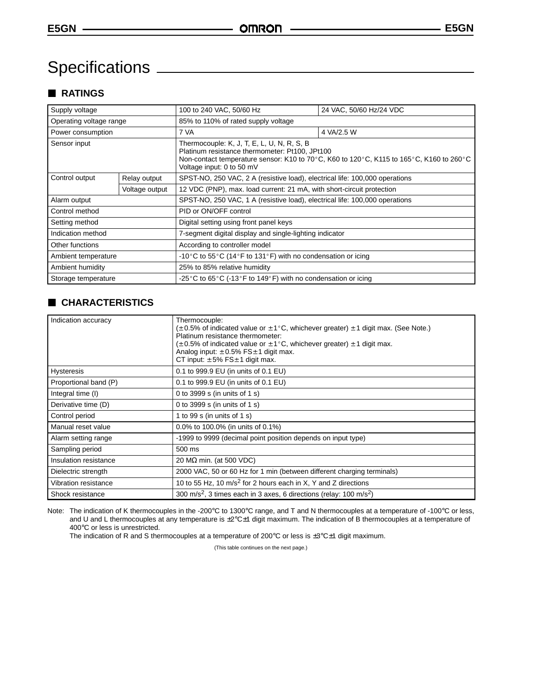# Specifications

## **RATINGS**

| Supply voltage          |              | 100 to 240 VAC, 50/60 Hz<br>24 VAC, 50/60 Hz/24 VDC                                                                                                                                                                  |            |  |  |
|-------------------------|--------------|----------------------------------------------------------------------------------------------------------------------------------------------------------------------------------------------------------------------|------------|--|--|
| Operating voltage range |              | 85% to 110% of rated supply voltage                                                                                                                                                                                  |            |  |  |
| Power consumption       |              | 7 VA                                                                                                                                                                                                                 | 4 VA/2.5 W |  |  |
| Sensor input            |              | Thermocouple: K, J, T, E, L, U, N, R, S, B<br>Platinum resistance thermometer: Pt100, JPt100<br>Non-contact temperature sensor: K10 to 70°C, K60 to 120°C, K115 to 165°C, K160 to 260°C<br>Voltage input: 0 to 50 mV |            |  |  |
| Control output          | Relay output | SPST-NO, 250 VAC, 2 A (resistive load), electrical life: 100,000 operations                                                                                                                                          |            |  |  |
| Voltage output          |              | 12 VDC (PNP), max. load current: 21 mA, with short-circuit protection                                                                                                                                                |            |  |  |
| Alarm output            |              | SPST-NO, 250 VAC, 1 A (resistive load), electrical life: 100,000 operations                                                                                                                                          |            |  |  |
| Control method          |              | PID or ON/OFF control                                                                                                                                                                                                |            |  |  |
| Setting method          |              | Digital setting using front panel keys                                                                                                                                                                               |            |  |  |
| Indication method       |              | 7-segment digital display and single-lighting indicator                                                                                                                                                              |            |  |  |
| Other functions         |              | According to controller model                                                                                                                                                                                        |            |  |  |
| Ambient temperature     |              | -10 °C to 55 °C (14 °F to 131 °F) with no condensation or icing                                                                                                                                                      |            |  |  |
| Ambient humidity        |              | 25% to 85% relative humidity                                                                                                                                                                                         |            |  |  |
| Storage temperature     |              | -25 °C to 65 °C (-13 °F to 149 °F) with no condensation or icing                                                                                                                                                     |            |  |  |

## **CHARACTERISTICS**

| Indication accuracy   | Thermocouple:<br>$(\pm 0.5\%$ of indicated value or $\pm 1^{\circ}$ C, whichever greater) $\pm 1$ digit max. (See Note.)<br>Platinum resistance thermometer:<br>$\pm$ 0.5% of indicated value or $\pm$ 1°C, whichever greater) $\pm$ 1 digit max.<br>Analog input: $\pm 0.5\%$ FS $\pm$ 1 digit max.<br>CT input: $\pm 5\%$ FS $\pm 1$ digit max. |  |  |  |
|-----------------------|---------------------------------------------------------------------------------------------------------------------------------------------------------------------------------------------------------------------------------------------------------------------------------------------------------------------------------------------------|--|--|--|
| <b>Hysteresis</b>     | 0.1 to 999.9 EU (in units of 0.1 EU)                                                                                                                                                                                                                                                                                                              |  |  |  |
| Proportional band (P) | 0.1 to 999.9 EU (in units of 0.1 EU)                                                                                                                                                                                                                                                                                                              |  |  |  |
| Integral time (I)     | 0 to 3999 s (in units of 1 s)                                                                                                                                                                                                                                                                                                                     |  |  |  |
| Derivative time (D)   | 0 to 3999 s (in units of 1 s)                                                                                                                                                                                                                                                                                                                     |  |  |  |
| Control period        | 1 to 99 s (in units of 1 s)                                                                                                                                                                                                                                                                                                                       |  |  |  |
| Manual reset value    | 0.0% to 100.0% (in units of 0.1%)                                                                                                                                                                                                                                                                                                                 |  |  |  |
| Alarm setting range   | -1999 to 9999 (decimal point position depends on input type)                                                                                                                                                                                                                                                                                      |  |  |  |
| Sampling period       | 500 ms                                                                                                                                                                                                                                                                                                                                            |  |  |  |
| Insulation resistance | 20 MΩ min. (at 500 VDC)                                                                                                                                                                                                                                                                                                                           |  |  |  |
| Dielectric strength   | 2000 VAC, 50 or 60 Hz for 1 min (between different charging terminals)                                                                                                                                                                                                                                                                            |  |  |  |
| Vibration resistance  | 10 to 55 Hz, 10 $m/s2$ for 2 hours each in X, Y and Z directions                                                                                                                                                                                                                                                                                  |  |  |  |
| Shock resistance      | 300 m/s <sup>2</sup> , 3 times each in 3 axes, 6 directions (relay: $100 \text{ m/s}^2$ )                                                                                                                                                                                                                                                         |  |  |  |

Note: The indication of K thermocouples in the -200°C to 1300°C range, and T and N thermocouples at a temperature of -100°C or less, and U and L thermocouples at any temperature is ±2°C±1 digit maximum. The indication of B thermocouples at a temperature of 400°C or less is unrestricted.

The indication of R and S thermocouples at a temperature of 200°C or less is ±3°C±1 digit maximum.

(This table continues on the next page.)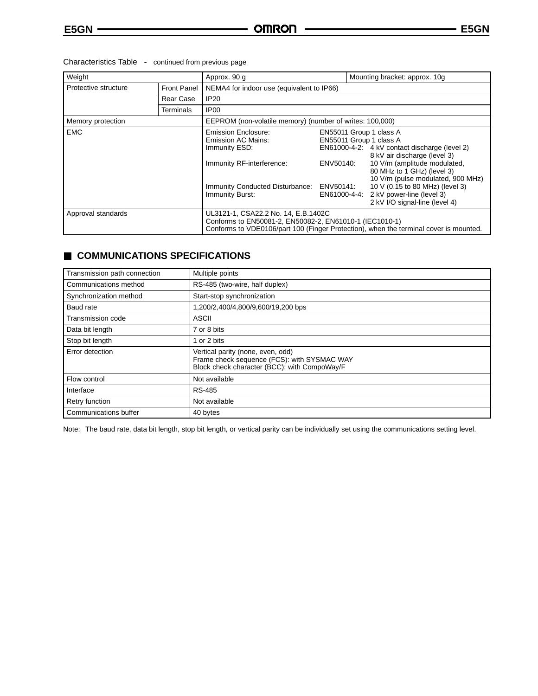### Characteristics Table - continued from previous page

| Weight                                     |           | Approx. 90 g                                                                                                                                                                                                                                                                                                                                                                                                                                                                                                                                      |  | Mounting bracket: approx. 10g |  |  |
|--------------------------------------------|-----------|---------------------------------------------------------------------------------------------------------------------------------------------------------------------------------------------------------------------------------------------------------------------------------------------------------------------------------------------------------------------------------------------------------------------------------------------------------------------------------------------------------------------------------------------------|--|-------------------------------|--|--|
| Protective structure<br><b>Front Panel</b> |           | NEMA4 for indoor use (equivalent to IP66)                                                                                                                                                                                                                                                                                                                                                                                                                                                                                                         |  |                               |  |  |
|                                            | Rear Case | <b>IP20</b>                                                                                                                                                                                                                                                                                                                                                                                                                                                                                                                                       |  |                               |  |  |
|                                            | Terminals | IP <sub>00</sub>                                                                                                                                                                                                                                                                                                                                                                                                                                                                                                                                  |  |                               |  |  |
| Memory protection                          |           | EEPROM (non-volatile memory) (number of writes: 100,000)                                                                                                                                                                                                                                                                                                                                                                                                                                                                                          |  |                               |  |  |
| <b>EMC</b>                                 |           | <b>Emission Enclosure:</b><br>EN55011 Group 1 class A<br>EN55011 Group 1 class A<br><b>Emission AC Mains:</b><br>EN61000-4-2: 4 kV contact discharge (level 2)<br>Immunity ESD:<br>8 kV air discharge (level 3)<br>10 V/m (amplitude modulated,<br>Immunity RF-interference:<br>ENV50140:<br>80 MHz to 1 GHz) (level 3)<br>10 V/m (pulse modulated, 900 MHz)<br>10 V (0.15 to 80 MHz) (level 3)<br>ENV50141:<br>Immunity Conducted Disturbance:<br>2 kV power-line (level 3)<br>Immunity Burst:<br>EN61000-4-4:<br>2 kV I/O signal-line (level 4) |  |                               |  |  |
| Approval standards                         |           | UL3121-1, CSA22.2 No. 14, E.B.1402C<br>Conforms to EN50081-2, EN50082-2, EN61010-1 (IEC1010-1)<br>Conforms to VDE0106/part 100 (Finger Protection), when the terminal cover is mounted.                                                                                                                                                                                                                                                                                                                                                           |  |                               |  |  |

## **COMMUNICATIONS SPECIFICATIONS**

| Transmission path connection | Multiple points                                                                                                                  |
|------------------------------|----------------------------------------------------------------------------------------------------------------------------------|
| Communications method        | RS-485 (two-wire, half duplex)                                                                                                   |
| Synchronization method       | Start-stop synchronization                                                                                                       |
| Baud rate                    | .200/2,400/4,800/9,600/19,200 bps                                                                                                |
| <b>Transmission code</b>     | <b>ASCII</b>                                                                                                                     |
| Data bit length              | 7 or 8 bits                                                                                                                      |
| Stop bit length              | or 2 bits                                                                                                                        |
| Error detection              | Vertical parity (none, even, odd)<br>Frame check sequence (FCS): with SYSMAC WAY<br>Block check character (BCC): with CompoWay/F |
| Flow control                 | Not available                                                                                                                    |
| Interface                    | <b>RS-485</b>                                                                                                                    |
| Retry function               | Not available                                                                                                                    |
| Communications buffer        | 40 bytes                                                                                                                         |

Note: The baud rate, data bit length, stop bit length, or vertical parity can be individually set using the communications setting level.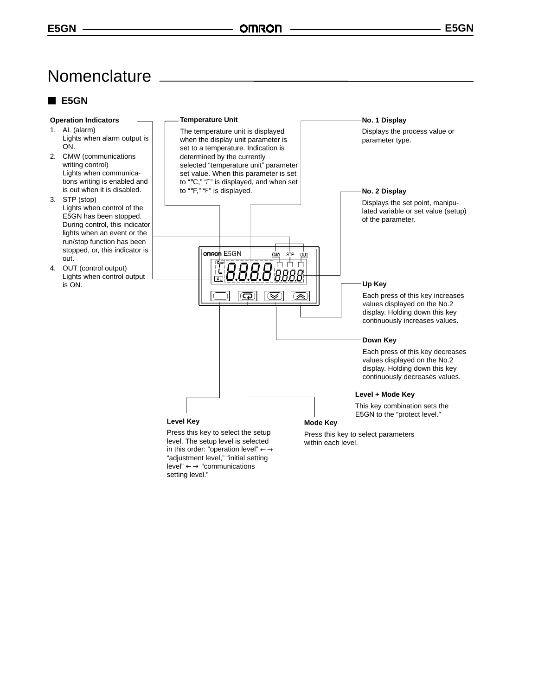## Nomenclature

## **E5GN**

#### **Operation Indicators**

- 1. AL (alarm) Lights when alarm output is ON.
- 2. CMW (communications writing control) Lights when communications writing is enabled and is out when it is disabled.
- 3. STP (stop) Lights when control of the E5GN has been stopped. During control, this indicator lights when an event or the run/stop function has been stopped, or, this indicator is out.
- 4. OUT (control output) Lights when control output is ON.

#### **Temperature Unit**

The temperature unit is displayed when the display unit parameter is set to a temperature. Indication is determined by the currently selected "temperature unit" parameter set value. When this parameter is set to "°C," "L" is displayed, and when set to "<sup>o</sup>F," "F" is displayed.

omron E5GN

ГĀІ

8

බ

 $\underline{\mathsf{CMM}}$ **STP** <u>out</u> 古 古

Π Π

Β '888

☞

`'

**No. 1 Display** Displays the process value or parameter type.

#### **No. 2 Display**

Displays the set point, manipulated variable or set value (setup) of the parameter.

#### **Up Key**

Each press of this key increases values displayed on the No.2 display. Holding down this key continuously increases values.

#### **Down Key**

Each press of this key decreases values displayed on the No.2 display. Holding down this key continuously decreases values.

#### **Level + Mode Key**

This key combination sets the E5GN to the "protect level."

Press this key to select the setup level. The setup level is selected in this order: "operation level" ←→ "adjustment level," "initial setting level" ←→ "communications setting level."

**Level Key**

Press this key to select parameters within each level.

**Mode Key**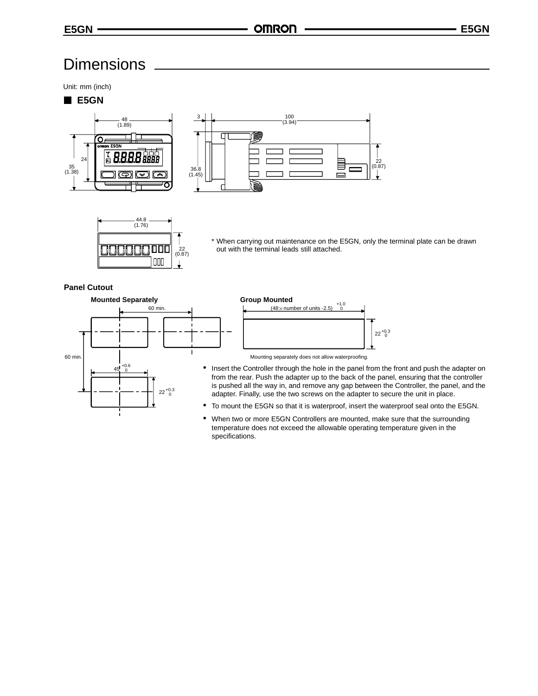## **Dimensions**

Unit: mm (inch)

### **E5GN**







\* When carrying out maintenance on the E5GN, only the terminal plate can be drawn out with the terminal leads still attached.

#### **Panel Cutout**





- 
- Insert the Controller through the hole in the panel from the front and push the adapter on from the rear. Push the adapter up to the back of the panel, ensuring that the controller is pushed all the way in, and remove any gap between the Controller, the panel, and the adapter. Finally, use the two screws on the adapter to secure the unit in place.
- To mount the E5GN so that it is waterproof, insert the waterproof seal onto the E5GN.
- When two or more E5GN Controllers are mounted, make sure that the surrounding temperature does not exceed the allowable operating temperature given in the specifications.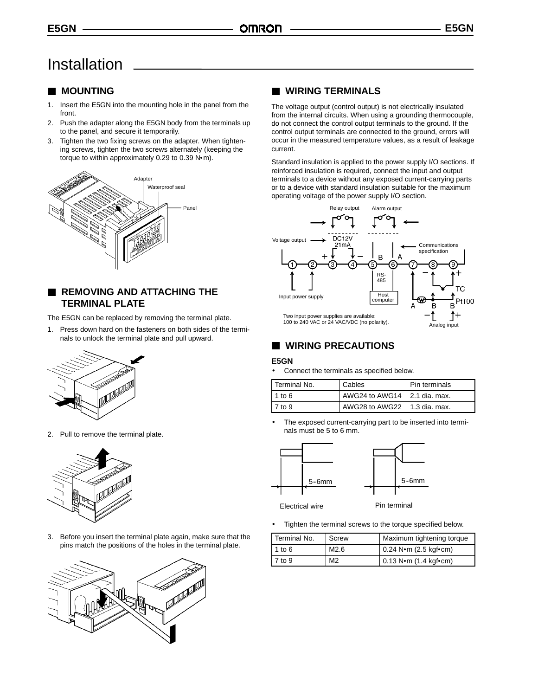## Installation

## **MOUNTING**

- 1. Insert the E5GN into the mounting hole in the panel from the front.
- 2. Push the adapter along the E5GN body from the terminals up to the panel, and secure it temporarily.
- 3. Tighten the two fixing screws on the adapter. When tightening screws, tighten the two screws alternately (keeping the nig screws, ugnien the two screws alternately (ke<br>torque to within approximately 0.29 to 0.39 N•m).



## **REMOVING AND ATTACHING THE TERMINAL PLATE**

The E5GN can be replaced by removing the terminal plate.

1. Press down hard on the fasteners on both sides of the terminals to unlock the terminal plate and pull upward.



2. Pull to remove the terminal plate.



3. Before you insert the terminal plate again, make sure that the pins match the positions of the holes in the terminal plate.



### **WIRING TERMINALS**

The voltage output (control output) is not electrically insulated from the internal circuits. When using a grounding thermocouple, do not connect the control output terminals to the ground. If the control output terminals are connected to the ground, errors will occur in the measured temperature values, as a result of leakage current.

Standard insulation is applied to the power supply I/O sections. If reinforced insulation is required, connect the input and output terminals to a device without any exposed current-carrying parts or to a device with standard insulation suitable for the maximum operating voltage of the power supply I/O section.



## **WIRING PRECAUTIONS**

#### **E5GN**

• Connect the terminals as specified below.

| Terminal No. | Cables                         | Pin terminals |
|--------------|--------------------------------|---------------|
| 1 to 6       | AWG24 to AWG14 2.1 dia. max.   |               |
| $17$ to 9    | AWG28 to AWG22   1.3 dia. max. |               |

The exposed current-carrying part to be inserted into terminals must be 5 to 6 mm.



Electrical wire **Pin** terminal

• Tighten the terminal screws to the torque specified below.

| Terminal No. | Screw          | Maximum tightening torque               |
|--------------|----------------|-----------------------------------------|
| 1 to $6$     | M2.6           | $0.24$ N $\cdot$ m (2.5 kgf $\cdot$ cm) |
| 7 to 9       | M <sub>2</sub> | $0.13 N·m (1.4 k$ gf•cm)                |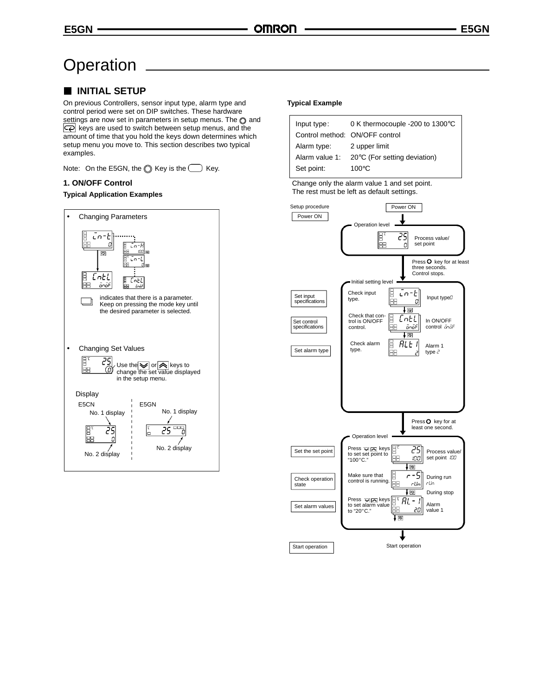## **Operation**

## **INITIAL SETUP**

On previous Controllers, sensor input type, alarm type and control period were set on DIP switches. These hardware settings are now set in parameters in setup menus. The  $\odot$  and  $\overline{\mathbb{Q}}$  keys are used to switch between setup menus, and the amount of time that you hold the keys down determines which setup menu you move to. This section describes two typical examples.

Note: On the E5GN, the  $\bigcirc$  Key is the  $\bigcirc$  Key.

#### **1. ON/OFF Control**

#### **Typical Application Examples**



#### **Typical Example**

| 0 K thermocouple -200 to 1300°C |  |
|---------------------------------|--|
| Control method: ON/OFF control  |  |
| 2 upper limit                   |  |
| 20°C (For setting deviation)    |  |
| $100^{\circ}$ C                 |  |
|                                 |  |

Change only the alarm value 1 and set point. The rest must be left as default settings.

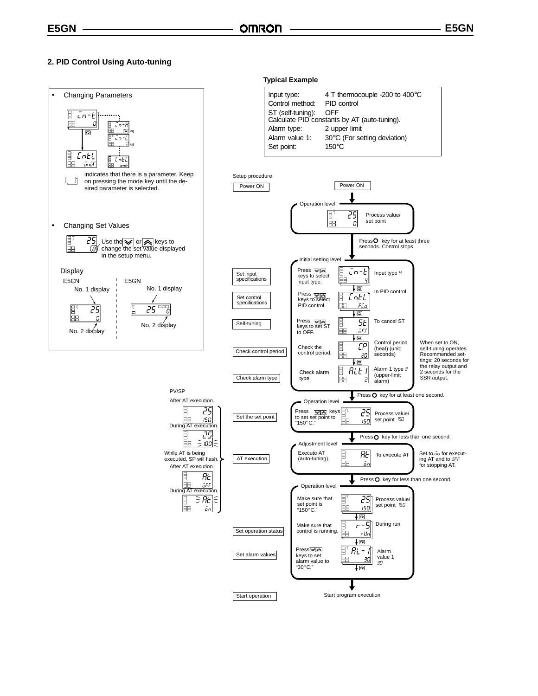#### **2. PID Control Using Auto-tuning**

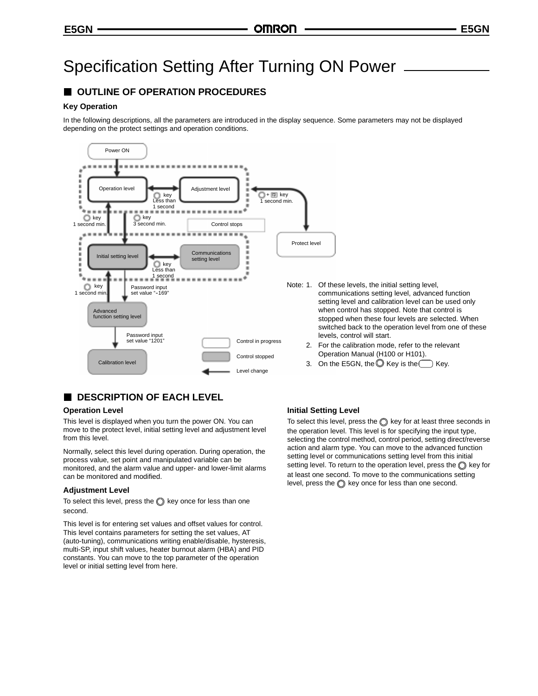## Specification Setting After Turning ON Power

## **OUTLINE OF OPERATION PROCEDURES**

#### **Key Operation**

In the following descriptions, all the parameters are introduced in the display sequence. Some parameters may not be displayed depending on the protect settings and operation conditions.



## **DESCRIPTION OF EACH LEVEL**

#### **Operation Level**

This level is displayed when you turn the power ON. You can move to the protect level, initial setting level and adjustment level from this level.

Normally, select this level during operation. During operation, the process value, set point and manipulated variable can be monitored, and the alarm value and upper- and lower-limit alarms can be monitored and modified.

#### **Adjustment Level**

To select this level, press the  $\oslash$  key once for less than one second.

This level is for entering set values and offset values for control. This level contains parameters for setting the set values, AT (auto-tuning), communications writing enable/disable, hysteresis, multi-SP, input shift values, heater burnout alarm (HBA) and PID constants. You can move to the top parameter of the operation level or initial setting level from here.

#### **Initial Setting Level**

To select this level, press the  $\bigcirc$  key for at least three seconds in the operation level. This level is for specifying the input type, selecting the control method, control period, setting direct/reverse action and alarm type. You can move to the advanced function setting level or communications setting level from this initial setting level. To return to the operation level, press the  $\bigcirc$  key for at least one second. To move to the communications setting level, press the  $\bigcirc$  key once for less than one second.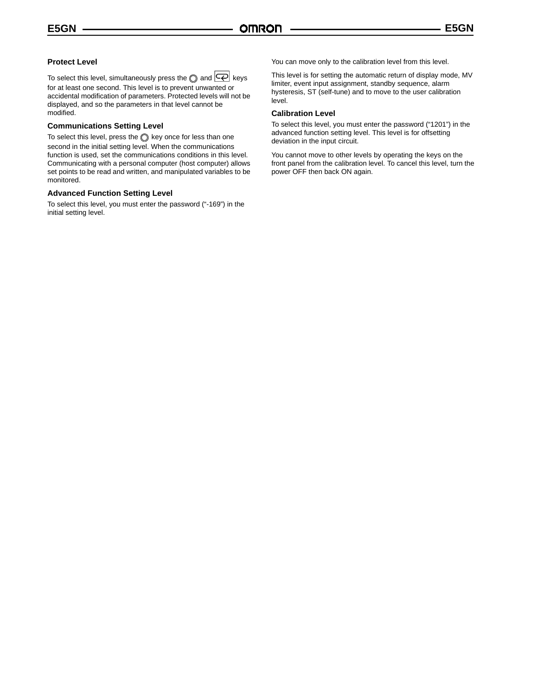#### **Protect Level**

To select this level, simultaneously press the  $\bigcirc$  and  $\bigcirc$  keys for at least one second. This level is to prevent unwanted or accidental modification of parameters. Protected levels will not be displayed, and so the parameters in that level cannot be modified.

#### **Communications Setting Level**

To select this level, press the  $\bigcirc$  key once for less than one second in the initial setting level. When the communications function is used, set the communications conditions in this level. Communicating with a personal computer (host computer) allows set points to be read and written, and manipulated variables to be monitored.

#### **Advanced Function Setting Level**

To select this level, you must enter the password ("-169") in the initial setting level.

You can move only to the calibration level from this level.

This level is for setting the automatic return of display mode, MV limiter, event input assignment, standby sequence, alarm hysteresis, ST (self-tune) and to move to the user calibration level.

#### **Calibration Level**

To select this level, you must enter the password ("1201") in the advanced function setting level. This level is for offsetting deviation in the input circuit.

You cannot move to other levels by operating the keys on the front panel from the calibration level. To cancel this level, turn the power OFF then back ON again.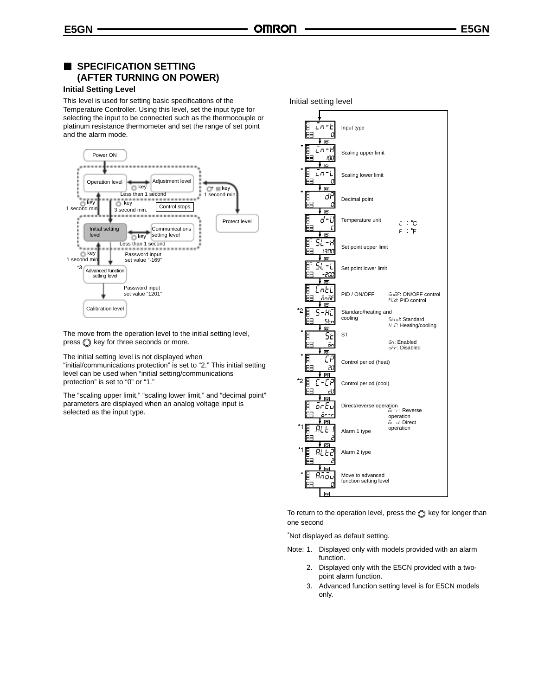## **SPECIFICATION SETTING (AFTER TURNING ON POWER)**

#### **Initial Setting Level**

This level is used for setting basic specifications of the Temperature Controller. Using this level, set the input type for selecting the input to be connected such as the thermocouple or platinum resistance thermometer and set the range of set point and the alarm mode.



The move from the operation level to the initial setting level,  $pres \circled{$  key for three seconds or more.

The initial setting level is not displayed when

"initial/communications protection" is set to "2." This initial setting level can be used when "initial setting/communications protection" is set to "0" or "1."

The "scaling upper limit," "scaling lower limit," and "decimal point" parameters are displayed when an analog voltage input is selected as the input type.



To return to the operation level, press the  $\bigcirc$  key for longer than one second

\*Not displayed as default setting.

- Note: 1. Displayed only with models provided with an alarm function.
	- 2. Displayed only with the E5CN provided with a twopoint alarm function.
	- 3. Advanced function setting level is for E5CN models only.

Initial setting level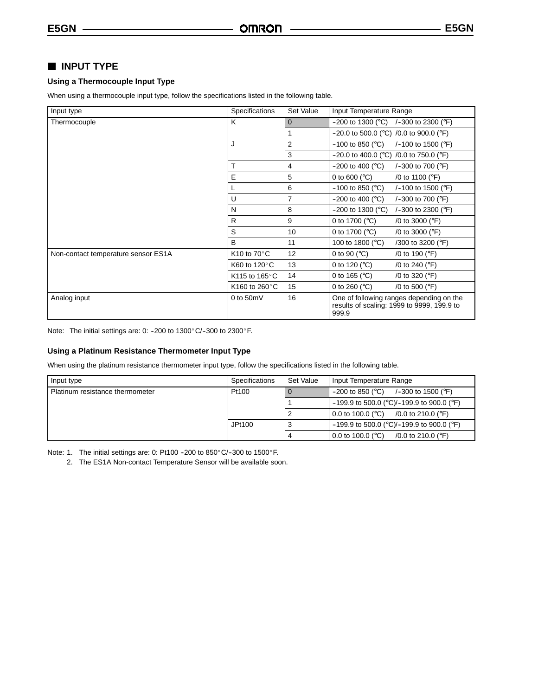## **INPUT TYPE**

#### **Using a Thermocouple Input Type**

When using a thermocouple input type, follow the specifications listed in the following table.

| Input type                          | Specifications                    | Set Value      | Input Temperature Range                                                                         |
|-------------------------------------|-----------------------------------|----------------|-------------------------------------------------------------------------------------------------|
| Thermocouple                        | K                                 | $\overline{0}$ | $-200$ to 1300 (°C) /-300 to 2300 (°F)                                                          |
|                                     |                                   | 1              | $-20.0$ to 500.0 (°C) /0.0 to 900.0 (°F)                                                        |
|                                     | J                                 | $\overline{2}$ | $-100$ to 850 ( $^{\circ}$ C)<br>/-100 to 1500 ( $\degree$ F)                                   |
|                                     |                                   | 3              | $-20.0$ to 400.0 (°C) /0.0 to 750.0 (°F)                                                        |
|                                     | т                                 | 4              | $-200$ to 400 ( $^{\circ}$ C)<br>/-300 to 700 ( $\degree$ F)                                    |
|                                     | E                                 | 5              | 0 to 600 ( $^{\circ}$ C)<br>/0 to 1100 ( $\degree$ F)                                           |
|                                     |                                   | 6              | $-100$ to 850 (°C)<br>/-100 to 1500 ( $\degree$ F)                                              |
|                                     | U                                 | $\overline{7}$ | $-200$ to 400 ( $^{\circ}$ C)<br>/-300 to 700 ( $\degree$ F)                                    |
|                                     | N                                 | 8              | $-200$ to 1300 ( $^{\circ}$ C)<br>$/-300$ to 2300 ( $\degree$ F)                                |
|                                     | R                                 | 9              | 0 to 1700 ( $^{\circ}$ C)<br>/0 to 3000 ( $\degree$ F)                                          |
|                                     | S                                 | 10             | 0 to 1700 ( $^{\circ}$ C)<br>/0 to 3000 ( $\degree$ F)                                          |
|                                     | B                                 | 11             | 100 to 1800 (°C)<br>/300 to 3200 (°F)                                                           |
| Non-contact temperature sensor ES1A | K <sub>10</sub> to $70^{\circ}$ C | 12             | 0 to 90 ( $^{\circ}$ C)<br>/0 to 190 (°F)                                                       |
|                                     | K60 to 120°C                      | 13             | 0 to 120 ( $^{\circ}$ C)<br>/0 to 240 ( $\degree$ F)                                            |
|                                     | K115 to 165 $\degree$ C           | 14             | 0 to 165 ( $^{\circ}$ C)<br>/0 to 320 (°F)                                                      |
|                                     | K160 to 260 °C                    | 15             | 0 to 260 ( $^{\circ}$ C)<br>/0 to 500 (°F)                                                      |
| Analog input                        | 0 to $50mV$                       | 16             | One of following ranges depending on the<br>results of scaling: 1999 to 9999, 199.9 to<br>999.9 |

Note: The initial settings are: 0: -200 to 1300°C/-300 to 2300°F.

#### **Using a Platinum Resistance Thermometer Input Type**

When using the platinum resistance thermometer input type, follow the specifications listed in the following table.

| Input type                      | <b>Specifications</b> | Set Value | Input Temperature Range                                      |  |
|---------------------------------|-----------------------|-----------|--------------------------------------------------------------|--|
| Platinum resistance thermometer | Pt100                 |           | $-200$ to 850 (°C)<br>/-300 to 1500 (°F)                     |  |
|                                 |                       |           | $-199.9$ to 500.0 (°C)/-199.9 to 900.0 (°F)                  |  |
|                                 |                       |           | 0.0 to 100.0 ( $^{\circ}$ C)<br>/0.0 to 210.0 ( $\degree$ F) |  |
|                                 | JPt100                |           | $-199.9$ to 500.0 (°C)/-199.9 to 900.0 (°F)                  |  |
|                                 |                       | 4         | 0.0 to 100.0 ( $^{\circ}$ C)<br>/0.0 to 210.0 ( $\degree$ F) |  |

Note: 1. The initial settings are: 0: Pt100 -200 to 850 $^{\circ}$ C/-300 to 1500 $^{\circ}$ F.

2. The ES1A Non-contact Temperature Sensor will be available soon.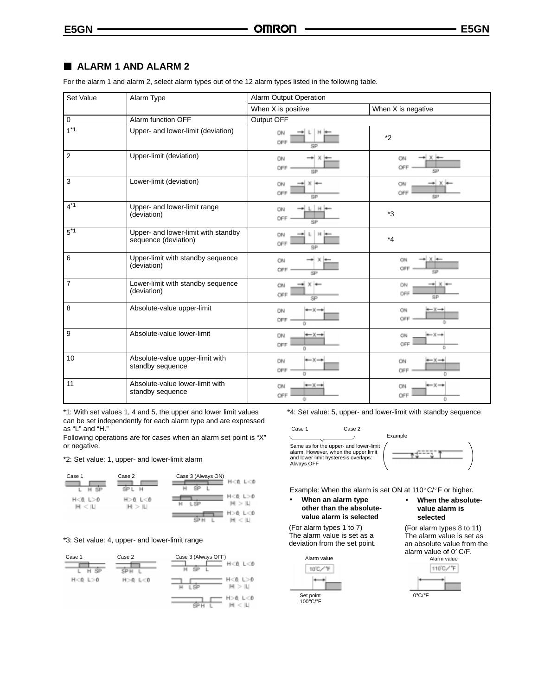### **ALARM 1 AND ALARM 2**

For the alarm 1 and alarm 2, select alarm types out of the 12 alarm types listed in the following table.

| Set Value           | Alarm Type                                                  | <b>Alarm Output Operation</b>                         |                                                          |
|---------------------|-------------------------------------------------------------|-------------------------------------------------------|----------------------------------------------------------|
|                     |                                                             | When X is positive                                    | When X is negative                                       |
| $\mathsf{O}\xspace$ | Alarm function OFF                                          | Output OFF                                            |                                                          |
| $1*1$               | Upper- and lower-limit (deviation)                          | ON<br>OFF<br>SP                                       | $*_{2}$                                                  |
| $\overline{2}$      | Upper-limit (deviation)                                     | ON<br>OFF<br>SP                                       | * X *<br>ON<br>OFF<br>SP                                 |
| 3                   | Lower-limit (deviation)                                     | ON<br>OFF<br>SP                                       | — ×<br>CN<br>OFF<br>SF <sup>1</sup>                      |
| $4*1$               | Upper- and lower-limit range<br>(deviation)                 | $L$   $H$ }<br>ON<br>OFF<br><b>SP</b>                 | $*3$                                                     |
| $5^*1$              | Upper- and lower-limit with standby<br>sequence (deviation) | ON<br>$\mathcal{H}$<br>OFF<br>88                      | $*_{4}$                                                  |
| 6                   | Upper-limit with standby sequence<br>(deviation)            | ON<br>OFF<br>SP                                       | - x +<br>CIN<br>OFF<br>5P                                |
| $\overline{7}$      | Lower-limit with standby sequence<br>(deviation)            | ÖN<br>$X =$<br>OFF<br>SP                              | $\rightarrow$ $\times$ $\rightarrow$<br>CN.<br>OFF<br>8P |
| 8                   | Absolute-value upper-limit                                  | $-x-$<br>ON<br>OFF<br>o                               | $+ x +$<br>ON<br>OFF                                     |
| 9                   | Absolute-value lower-limit                                  | ON<br>$\rightarrow x \rightarrow$<br>OFF<br>o         | $\leftarrow$ X $\rightarrow$<br>CN<br>OFF<br>Ð           |
| 10                  | Absolute-value upper-limit with<br>standby sequence         | $\leftarrow$ $\times$ $\rightarrow$<br>ON<br>OFF<br>Ð | ⊷⊻⊸<br>CN<br>OFF<br>ō                                    |
| 11                  | Absolute-value lower-limit with<br>standby sequence         | $---x-+$<br>ON<br>OFF<br>ö                            | $\leftarrow$ X $\rightarrow$<br>ON<br>OFF<br>Ð           |

\*1: With set values 1, 4 and 5, the upper and lower limit values can be set independently for each alarm type and are expressed as "L" and "H."

Following operations are for cases when an alarm set point is "X" or negative.

\*2: Set value: 1, upper- and lower-limit alarm

| Case 1                       | Case 2                   | Case 3 (Always ON) | L < 0<br>一直<br>н |
|------------------------------|--------------------------|--------------------|------------------|
| $H < 0$ ( $> 0$<br>н<br>< 11 | $H > 0$ $L < 0$<br>H > U | er pro             | H<き し>の<br>$+ -$ |
|                              |                          |                    | H > 0<br>L < 0   |

#### \*3: Set value: 4, upper- and lower-limit range



\*4: Set value: 5, upper- and lower-limit with standby sequence

Case 1 Case 2 Same as for the upper- and lower-limit alarm. However, when the upper limit and lower limit hysteresis overlaps: Always OFF



Example: When the alarm is set ON at  $110^{\circ}$ C/ $\circ$ F or higher.

• **When an alarm type other than the absolutevalue alarm is selected**

(For alarm types 1 to 7) The alarm value is set as a deviation from the set point.



• **When the absolutevalue alarm is selected**

(For alarm types 8 to 11) The alarm value is set as an absolute value from the alarm value of  $0^{\circ}$  C/F.

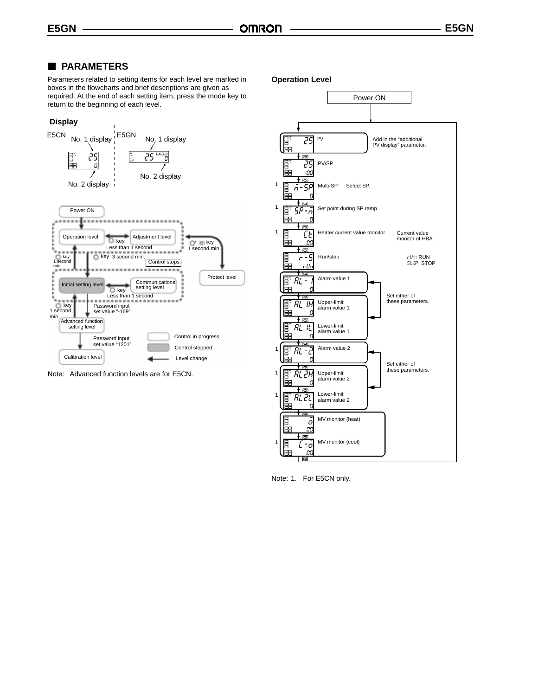### **PARAMETERS**

Parameters related to setting items for each level are marked in boxes in the flowcharts and brief descriptions are given as required. At the end of each setting item, press the mode key to return to the beginning of each level.

#### **Display**



Note: Advanced function levels are for E5CN.

**Operation Level**



Note: 1. For E5CN only.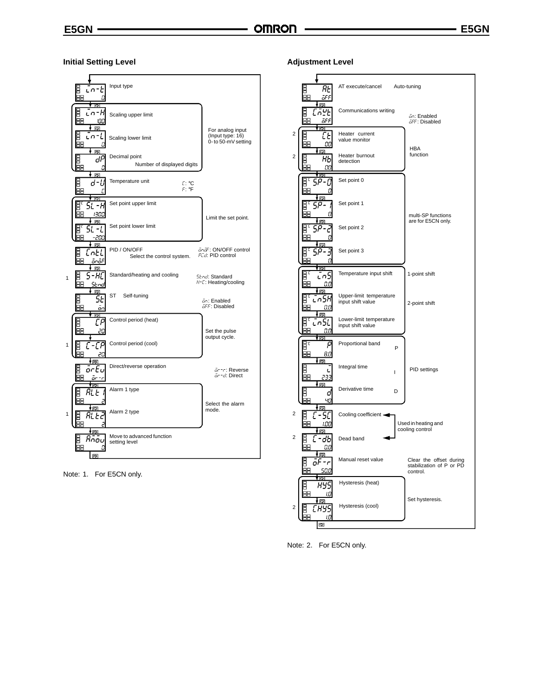#### **Initial Setting Level**



Note: 1. For E5CN only.

**Adjustment Level**



Note: 2. For E5CN only.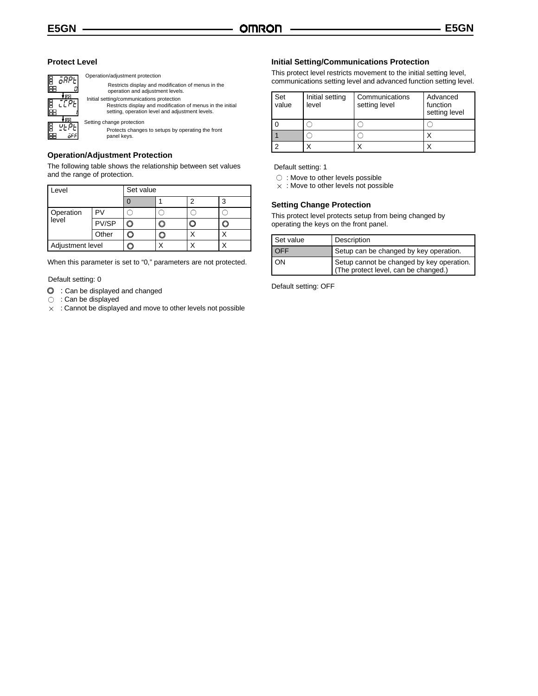#### **Protect Level**



Operation/adjustment protection Restricts display and modification of menus in the operation and adjustment levels. Initial setting/communications protection Restricts display and modification of menus in the initial setting, operation level and adjustment levels. Setting change protection

Protects changes to setups by operating the front panel keys.

#### **Operation/Adjustment Protection**

The following table shows the relationship between set values and the range of protection.

| Level              |       | Set value |  |  |  |
|--------------------|-------|-----------|--|--|--|
|                    |       |           |  |  |  |
| Operation<br>level |       |           |  |  |  |
|                    | PV/SP |           |  |  |  |
|                    | Other |           |  |  |  |
| Adjustment level   |       |           |  |  |  |

When this parameter is set to "0," parameters are not protected.

#### Default setting: 0

- $\odot$  : Can be displayed and changed
- $\circ$  : Can be displayed
- $\times$  : Cannot be displayed and move to other levels not possible

#### **Initial Setting/Communications Protection**

This protect level restricts movement to the initial setting level, communications setting level and advanced function setting level.

| Set<br>value | Initial setting<br>level | Communications<br>setting level | Advanced<br>function<br>setting level |
|--------------|--------------------------|---------------------------------|---------------------------------------|
|              |                          |                                 |                                       |
|              |                          |                                 |                                       |
|              |                          |                                 |                                       |

Default setting: 1

○ : Move to other levels possible

 $\times$  : Move to other levels not possible

#### **Setting Change Protection**

This protect level protects setup from being changed by operating the keys on the front panel.

| Set value  | Description                                                                       |
|------------|-----------------------------------------------------------------------------------|
| <b>OFF</b> | Setup can be changed by key operation.                                            |
| I ON       | Setup cannot be changed by key operation.<br>(The protect level, can be changed.) |

Default setting: OFF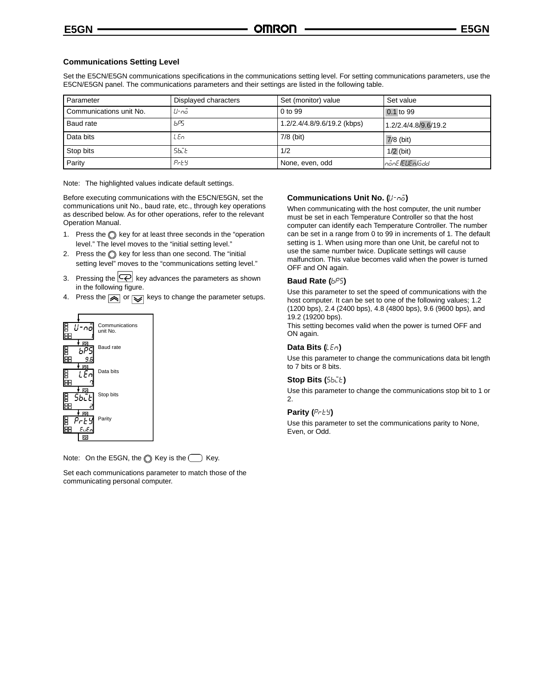#### **Communications Setting Level**

Set the E5CN/E5GN communications specifications in the communications setting level. For setting communications parameters, use the E5CN/E5GN panel. The communications parameters and their settings are listed in the following table.

| Parameter               | Displayed characters | Set (monitor) value         | Set value            |
|-------------------------|----------------------|-----------------------------|----------------------|
| Communications unit No. | ll-nā                | 0 to 99                     | 0.1 to 99            |
| Baud rate               | bP5                  | 1.2/2.4/4.8/9.6/19.2 (kbps) | 1.2/2.4/4.8/9.6/19.2 |
| Data bits               | LEn                  | 7/8 (bit)                   | $7/8$ (bit)          |
| Stop bits               | 56CE                 | 1/2                         | $1/2$ (bit)          |
| Parity                  | $P$ r $E$ $Y$        | None, even, odd             | nönE/EUEnlödd        |

Note: The highlighted values indicate default settings.

Before executing communications with the E5CN/E5GN, set the communications unit No., baud rate, etc., through key operations as described below. As for other operations, refer to the relevant Operation Manual.

- 1. Press the  $\bigcirc$  key for at least three seconds in the "operation level." The level moves to the "initial setting level."
- 2. Press the  $\bigcirc$  key for less than one second. The "initial setting level" moves to the "communications setting level."
- 3. Pressing the  $\left| \overline{\left\langle \varphi \right|} \right|$  key advances the parameters as shown in the following figure.
- 4. Press the  $\boxed{\color{red} \blacktriangle}$  or  $\boxed{\color{red} \blacktriangledown}$  keys to change the parameter setups.



Note: On the E5GN, the  $\bigcirc$  Key is the  $\bigcirc$  Key.

Set each communications parameter to match those of the communicating personal computer.

#### **Communications Unit No. (U-no)**

When communicating with the host computer, the unit number must be set in each Temperature Controller so that the host computer can identify each Temperature Controller. The number can be set in a range from 0 to 99 in increments of 1. The default setting is 1. When using more than one Unit, be careful not to use the same number twice. Duplicate settings will cause malfunction. This value becomes valid when the power is turned OFF and ON again.

#### **Baud Rate (** $b^{pg}$ **)**

Use this parameter to set the speed of communications with the host computer. It can be set to one of the following values; 1.2 (1200 bps), 2.4 (2400 bps), 4.8 (4800 bps), 9.6 (9600 bps), and 19.2 (19200 bps).

This setting becomes valid when the power is turned OFF and ON again.

#### **Data Bits (LEn)**

Use this parameter to change the communications data bit length to 7 bits or 8 bits.

#### **Stop Bits (Sbile)**

Use this parameter to change the communications stop bit to 1 or 2.

#### **Parity (** $P \in E$ **)**

Use this parameter to set the communications parity to None, Even, or Odd.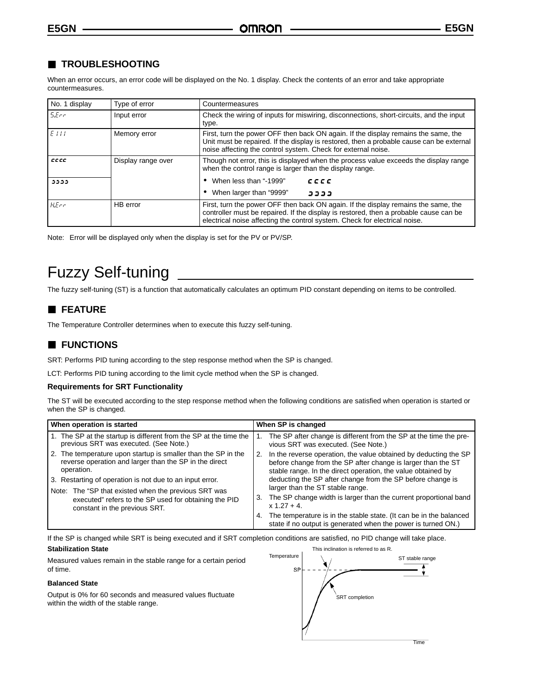## **TROUBLESHOOTING**

When an error occurs, an error code will be displayed on the No. 1 display. Check the contents of an error and take appropriate countermeasures.

| No. 1 display | Type of error      | Countermeasures                                                                                                                                                                                                                                           |  |
|---------------|--------------------|-----------------------------------------------------------------------------------------------------------------------------------------------------------------------------------------------------------------------------------------------------------|--|
| 5Ecr          | Input error        | Check the wiring of inputs for miswiring, disconnections, short-circuits, and the input<br>type.                                                                                                                                                          |  |
| EIII          | Memory error       | First, turn the power OFF then back ON again. If the display remains the same, the<br>Unit must be repaired. If the display is restored, then a probable cause can be external<br>noise affecting the control system. Check for external noise.           |  |
| cccc          | Display range over | Though not error, this is displayed when the process value exceeds the display range<br>when the control range is larger than the display range.                                                                                                          |  |
| دددد          |                    | When less than "-1999"<br>cccc                                                                                                                                                                                                                            |  |
|               |                    | When larger than "9999"<br>,,,,,                                                                                                                                                                                                                          |  |
| HEcr          | HB error           | First, turn the power OFF then back ON again. If the display remains the same, the<br>controller must be repaired. If the display is restored, then a probable cause can be<br>electrical noise affecting the control system. Check for electrical noise. |  |

Note: Error will be displayed only when the display is set for the PV or PV/SP.

## Fuzzy Self-tuning

The fuzzy self-tuning (ST) is a function that automatically calculates an optimum PID constant depending on items to be controlled.

## **FEATURE**

The Temperature Controller determines when to execute this fuzzy self-tuning.

## **FUNCTIONS**

SRT: Performs PID tuning according to the step response method when the SP is changed.

LCT: Performs PID tuning according to the limit cycle method when the SP is changed.

#### **Requirements for SRT Functionality**

The ST will be executed according to the step response method when the following conditions are satisfied when operation is started or when the SP is changed.

| When operation is started                                                                                                             | When SP is changed                                                                                                                                                                                     |
|---------------------------------------------------------------------------------------------------------------------------------------|--------------------------------------------------------------------------------------------------------------------------------------------------------------------------------------------------------|
| 1. The SP at the startup is different from the SP at the time the<br>previous SRT was executed. (See Note.)                           | The SP after change is different from the SP at the time the pre-<br>vious SRT was executed. (See Note.)                                                                                               |
| 2. The temperature upon startup is smaller than the SP in the<br>reverse operation and larger than the SP in the direct<br>operation. | In the reverse operation, the value obtained by deducting the SP<br>2.<br>before change from the SP after change is larger than the ST<br>stable range. In the direct operation, the value obtained by |
| 3. Restarting of operation is not due to an input error.                                                                              | deducting the SP after change from the SP before change is                                                                                                                                             |
| Note: The "SP that existed when the previous SRT was                                                                                  | larger than the ST stable range.                                                                                                                                                                       |
| executed" refers to the SP used for obtaining the PID                                                                                 | The SP change width is larger than the current proportional band<br>З.                                                                                                                                 |
| constant in the previous SRT.                                                                                                         | $x 1.27 + 4.$                                                                                                                                                                                          |
|                                                                                                                                       | The temperature is in the stable state. (It can be in the balanced<br>4.<br>state if no output is generated when the power is turned ON.)                                                              |

If the SP is changed while SRT is being executed and if SRT completion conditions are satisfied, no PID change will take place.

#### **Stabilization State**

Measured values remain in the stable range for a certain period of time.

#### **Balanced State**

Output is 0% for 60 seconds and measured values fluctuate within the width of the stable range.

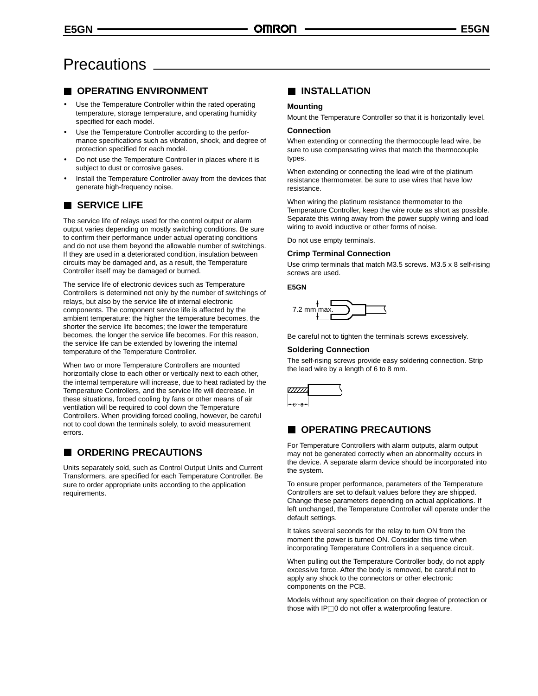## **Precautions**

## **OPERATING ENVIRONMENT**

- Use the Temperature Controller within the rated operating temperature, storage temperature, and operating humidity specified for each model.
- Use the Temperature Controller according to the performance specifications such as vibration, shock, and degree of protection specified for each model.
- Do not use the Temperature Controller in places where it is subject to dust or corrosive gases.
- Install the Temperature Controller away from the devices that generate high-frequency noise.

## **SERVICE LIFE**

The service life of relays used for the control output or alarm output varies depending on mostly switching conditions. Be sure to confirm their performance under actual operating conditions and do not use them beyond the allowable number of switchings. If they are used in a deteriorated condition, insulation between circuits may be damaged and, as a result, the Temperature Controller itself may be damaged or burned.

The service life of electronic devices such as Temperature Controllers is determined not only by the number of switchings of relays, but also by the service life of internal electronic components. The component service life is affected by the ambient temperature: the higher the temperature becomes, the shorter the service life becomes; the lower the temperature becomes, the longer the service life becomes. For this reason, the service life can be extended by lowering the internal temperature of the Temperature Controller.

When two or more Temperature Controllers are mounted horizontally close to each other or vertically next to each other, the internal temperature will increase, due to heat radiated by the Temperature Controllers, and the service life will decrease. In these situations, forced cooling by fans or other means of air ventilation will be required to cool down the Temperature Controllers. When providing forced cooling, however, be careful not to cool down the terminals solely, to avoid measurement errors.

## **CORDERING PRECAUTIONS**

Units separately sold, such as Control Output Units and Current Transformers, are specified for each Temperature Controller. Be sure to order appropriate units according to the application requirements.

## **INSTALLATION**

#### **Mounting**

Mount the Temperature Controller so that it is horizontally level.

#### **Connection**

When extending or connecting the thermocouple lead wire, be sure to use compensating wires that match the thermocouple types.

When extending or connecting the lead wire of the platinum resistance thermometer, be sure to use wires that have low resistance.

When wiring the platinum resistance thermometer to the Temperature Controller, keep the wire route as short as possible. Separate this wiring away from the power supply wiring and load wiring to avoid inductive or other forms of noise.

Do not use empty terminals.

#### **Crimp Terminal Connection**

Use crimp terminals that match M3.5 screws. M3.5 x 8 self-rising screws are used.

#### **E5GN**



Be careful not to tighten the terminals screws excessively.

#### **Soldering Connection**

The self-rising screws provide easy soldering connection. Strip the lead wire by a length of 6 to 8 mm.



## **COPERATING PRECAUTIONS**

For Temperature Controllers with alarm outputs, alarm output may not be generated correctly when an abnormality occurs in the device. A separate alarm device should be incorporated into the system.

To ensure proper performance, parameters of the Temperature Controllers are set to default values before they are shipped. Change these parameters depending on actual applications. If left unchanged, the Temperature Controller will operate under the default settings.

It takes several seconds for the relay to turn ON from the moment the power is turned ON. Consider this time when incorporating Temperature Controllers in a sequence circuit.

When pulling out the Temperature Controller body, do not apply excessive force. After the body is removed, be careful not to apply any shock to the connectors or other electronic components on the PCB.

Models without any specification on their degree of protection or those with  $IP\Box$ 0 do not offer a waterproofing feature.